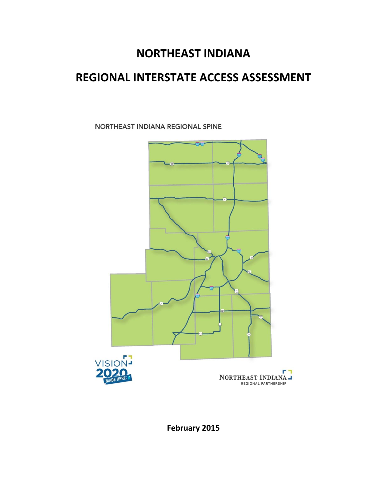# **NORTHEAST INDIANA**

# **REGIONAL INTERSTATE ACCESS ASSESSMENT**

NORTHEAST INDIANA REGIONAL SPINE



**February 2015**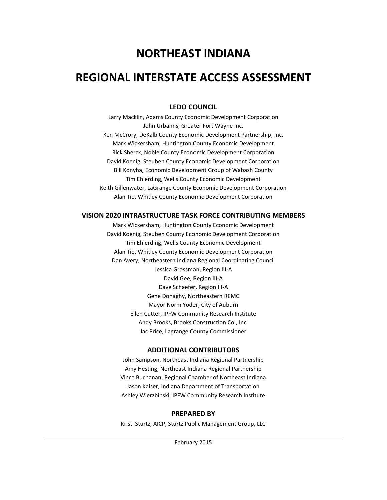# **NORTHEAST INDIANA**

## **REGIONAL INTERSTATE ACCESS ASSESSMENT**

## **LEDO COUNCIL**

Larry Macklin, Adams County Economic Development Corporation John Urbahns, Greater Fort Wayne Inc. Ken McCrory, DeKalb County Economic Development Partnership, Inc. Mark Wickersham, Huntington County Economic Development Rick Sherck, Noble County Economic Development Corporation David Koenig, Steuben County Economic Development Corporation Bill Konyha, Economic Development Group of Wabash County Tim Ehlerding, Wells County Economic Development Keith Gillenwater, LaGrange County Economic Development Corporation Alan Tio, Whitley County Economic Development Corporation

### **VISION 2020 INTRASTRUCTURE TASK FORCE CONTRIBUTING MEMBERS**

Mark Wickersham, Huntington County Economic Development David Koenig, Steuben County Economic Development Corporation Tim Ehlerding, Wells County Economic Development Alan Tio, Whitley County Economic Development Corporation Dan Avery, Northeastern Indiana Regional Coordinating Council Jessica Grossman, Region III-A David Gee, Region III-A Dave Schaefer, Region III-A Gene Donaghy, Northeastern REMC Mayor Norm Yoder, City of Auburn Ellen Cutter, IPFW Community Research Institute Andy Brooks, Brooks Construction Co., Inc. Jac Price, Lagrange County Commissioner

### **ADDITIONAL CONTRIBUTORS**

John Sampson, Northeast Indiana Regional Partnership Amy Hesting, Northeast Indiana Regional Partnership Vince Buchanan, Regional Chamber of Northeast Indiana Jason Kaiser, Indiana Department of Transportation Ashley Wierzbinski, IPFW Community Research Institute

### **PREPARED BY**

Kristi Sturtz, AICP, Sturtz Public Management Group, LLC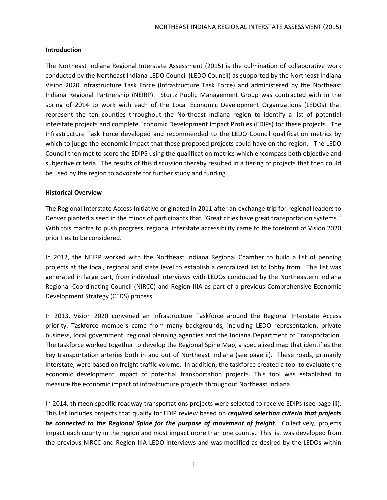#### **Introduction**

The Northeast Indiana Regional Interstate Assessment (2015) is the culmination of collaborative work conducted by the Northeast Indiana LEDO Council (LEDO Council) as supported by the Northeast Indiana Vision 2020 Infrastructure Task Force (Infrastructure Task Force) and administered by the Northeast Indiana Regional Partnership (NEIRP). Sturtz Public Management Group was contracted with in the spring of 2014 to work with each of the Local Economic Development Organizations (LEDOs) that represent the ten counties throughout the Northeast Indiana region to identify a list of potential interstate projects and complete Economic Development Impact Profiles (EDIPs) for these projects. The Infrastructure Task Force developed and recommended to the LEDO Council qualification metrics by which to judge the economic impact that these proposed projects could have on the region. The LEDO Council then met to score the EDIPS using the qualification metrics which encompass both objective and subjective criteria. The results of this discussion thereby resulted in a tiering of projects that then could be used by the region to advocate for further study and funding.

#### **Historical Overview**

The Regional Interstate Access Initiative originated in 2011 after an exchange trip for regional leaders to Denver planted a seed in the minds of participants that "Great cities have great transportation systems." With this mantra to push progress, regional interstate accessibility came to the forefront of Vision 2020 priorities to be considered.

In 2012, the NEIRP worked with the Northeast Indiana Regional Chamber to build a list of pending projects at the local, regional and state level to establish a centralized list to lobby from. This list was generated in large part, from individual interviews with LEDOs conducted by the Northeastern Indiana Regional Coordinating Council (NIRCC) and Region IIIA as part of a previous Comprehensive Economic Development Strategy (CEDS) process.

In 2013, Vision 2020 convened an Infrastructure Taskforce around the Regional Interstate Access priority. Taskforce members came from many backgrounds, including LEDO representation, private business, local government, regional planning agencies and the Indiana Department of Transportation. The taskforce worked together to develop the Regional Spine Map, a specialized map that identifies the key transportation arteries both in and out of Northeast Indiana (see page ii). These roads, primarily interstate, were based on freight traffic volume. In addition, the taskforce created a tool to evaluate the economic development impact of potential transportation projects. This tool was established to measure the economic impact of infrastructure projects throughout Northeast Indiana.

In 2014, thirteen specific roadway transportations projects were selected to receive EDIPs (see page iii). This list includes projects that qualify for EDIP review based on *required selection criteria that projects be connected to the Regional Spine for the purpose of movement of freight*. Collectively, projects impact each county in the region and most impact more than one county. This list was developed from the previous NIRCC and Region IIIA LEDO interviews and was modified as desired by the LEDOs within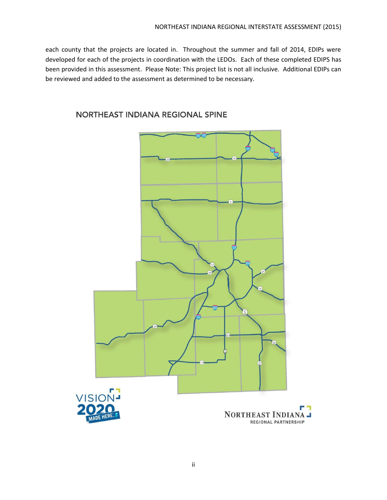each county that the projects are located in. Throughout the summer and fall of 2014, EDIPs were developed for each of the projects in coordination with the LEDOs. Each of these completed EDIPS has been provided in this assessment. Please Note: This project list is not all inclusive. Additional EDIPs can be reviewed and added to the assessment as determined to be necessary.



## NORTHEAST INDIANA REGIONAL SPINE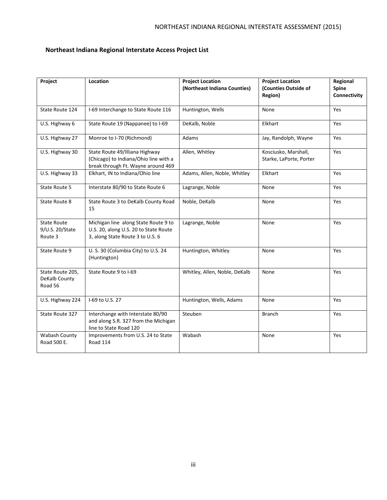## **Northeast Indiana Regional Interstate Access Project List**

| Project                                          | Location                                                                                                          | <b>Project Location</b><br>(Northeast Indiana Counties) | <b>Project Location</b><br>(Counties Outside of<br>Region) | Regional<br>Spine<br>Connectivity |
|--------------------------------------------------|-------------------------------------------------------------------------------------------------------------------|---------------------------------------------------------|------------------------------------------------------------|-----------------------------------|
| State Route 124                                  | I-69 Interchange to State Route 116                                                                               | Huntington, Wells                                       | None                                                       | Yes                               |
| U.S. Highway 6                                   | State Route 19 (Nappanee) to I-69                                                                                 | DeKalb, Noble                                           | Elkhart                                                    | Yes                               |
| U.S. Highway 27                                  | Monroe to I-70 (Richmond)                                                                                         | Adams                                                   | Jay, Randolph, Wayne                                       | Yes                               |
| U.S. Highway 30                                  | State Route 49/Illiana Highway<br>(Chicago) to Indiana/Ohio line with a<br>break through Ft. Wayne around 469     | Allen, Whitley                                          | Kosciusko, Marshall,<br>Starke, LaPorte, Porter            | Yes                               |
| U.S. Highway 33                                  | Elkhart, IN to Indiana/Ohio line                                                                                  | Adams, Allen, Noble, Whitley                            | Elkhart                                                    | Yes                               |
| State Route 5                                    | Interstate 80/90 to State Route 6                                                                                 | Lagrange, Noble                                         | None                                                       | Yes                               |
| State Route 8                                    | State Route 3 to DeKalb County Road<br>15                                                                         | Noble, DeKalb                                           | None                                                       | Yes                               |
| <b>State Route</b><br>9/U.S. 20/State<br>Route 3 | Michigan line along State Route 9 to<br>U.S. 20, along U.S. 20 to State Route<br>3, along State Route 3 to U.S. 6 | Lagrange, Noble                                         | None                                                       | Yes                               |
| State Route 9                                    | U. S. 30 (Columbia City) to U.S. 24<br>(Huntington)                                                               | Huntington, Whitley                                     | None                                                       | Yes                               |
| State Route 205,<br>DeKalb County<br>Road 56     | State Route 9 to I-69                                                                                             | Whitley, Allen, Noble, DeKalb                           | None                                                       | Yes                               |
| U.S. Highway 224                                 | I-69 to U.S. 27                                                                                                   | Huntington, Wells, Adams                                | None                                                       | Yes                               |
| State Route 327                                  | Interchange with Interstate 80/90<br>and along S.R. 327 from the Michigan<br>line to State Road 120               | Steuben                                                 | Branch                                                     | Yes                               |
| Wabash County<br>Road 500 E.                     | Improvements from U.S. 24 to State<br>Road 114                                                                    | Wabash                                                  | None                                                       | Yes                               |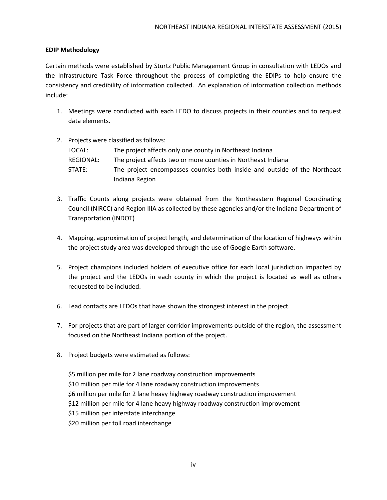#### **EDIP Methodology**

Certain methods were established by Sturtz Public Management Group in consultation with LEDOs and the Infrastructure Task Force throughout the process of completing the EDIPs to help ensure the consistency and credibility of information collected. An explanation of information collection methods include:

- 1. Meetings were conducted with each LEDO to discuss projects in their counties and to request data elements.
- 2. Projects were classified as follows:

| LOCAL: I  | The project affects only one county in Northeast Indiana                  |
|-----------|---------------------------------------------------------------------------|
| REGIONAL: | The project affects two or more counties in Northeast Indiana             |
| STATE:    | The project encompasses counties both inside and outside of the Northeast |
|           | Indiana Region                                                            |

- 3. Traffic Counts along projects were obtained from the Northeastern Regional Coordinating Council (NIRCC) and Region IIIA as collected by these agencies and/or the Indiana Department of Transportation (INDOT)
- 4. Mapping, approximation of project length, and determination of the location of highways within the project study area was developed through the use of Google Earth software.
- 5. Project champions included holders of executive office for each local jurisdiction impacted by the project and the LEDOs in each county in which the project is located as well as others requested to be included.
- 6. Lead contacts are LEDOs that have shown the strongest interest in the project.
- 7. For projects that are part of larger corridor improvements outside of the region, the assessment focused on the Northeast Indiana portion of the project.
- 8. Project budgets were estimated as follows:

\$5 million per mile for 2 lane roadway construction improvements \$10 million per mile for 4 lane roadway construction improvements \$6 million per mile for 2 lane heavy highway roadway construction improvement \$12 million per mile for 4 lane heavy highway roadway construction improvement \$15 million per interstate interchange \$20 million per toll road interchange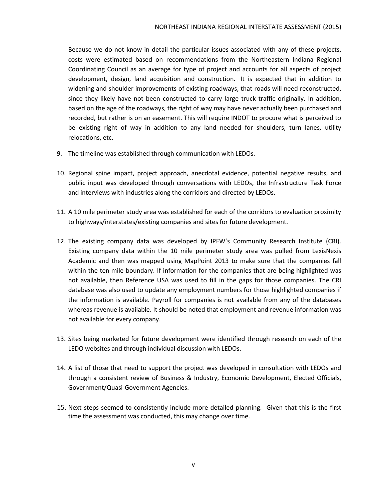Because we do not know in detail the particular issues associated with any of these projects, costs were estimated based on recommendations from the Northeastern Indiana Regional Coordinating Council as an average for type of project and accounts for all aspects of project development, design, land acquisition and construction. It is expected that in addition to widening and shoulder improvements of existing roadways, that roads will need reconstructed, since they likely have not been constructed to carry large truck traffic originally. In addition, based on the age of the roadways, the right of way may have never actually been purchased and recorded, but rather is on an easement. This will require INDOT to procure what is perceived to be existing right of way in addition to any land needed for shoulders, turn lanes, utility relocations, etc.

- 9. The timeline was established through communication with LEDOs.
- 10. Regional spine impact, project approach, anecdotal evidence, potential negative results, and public input was developed through conversations with LEDOs, the Infrastructure Task Force and interviews with industries along the corridors and directed by LEDOs.
- 11. A 10 mile perimeter study area was established for each of the corridors to evaluation proximity to highways/interstates/existing companies and sites for future development.
- 12. The existing company data was developed by IPFW's Community Research Institute (CRI). Existing company data within the 10 mile perimeter study area was pulled from LexisNexis Academic and then was mapped using MapPoint 2013 to make sure that the companies fall within the ten mile boundary. If information for the companies that are being highlighted was not available, then Reference USA was used to fill in the gaps for those companies. The CRI database was also used to update any employment numbers for those highlighted companies if the information is available. Payroll for companies is not available from any of the databases whereas revenue is available. It should be noted that employment and revenue information was not available for every company.
- 13. Sites being marketed for future development were identified through research on each of the LEDO websites and through individual discussion with LEDOs.
- 14. A list of those that need to support the project was developed in consultation with LEDOs and through a consistent review of Business & Industry, Economic Development, Elected Officials, Government/Quasi-Government Agencies.
- 15. Next steps seemed to consistently include more detailed planning. Given that this is the first time the assessment was conducted, this may change over time.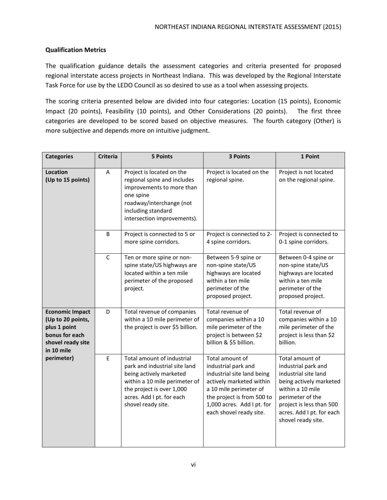#### **Qualification Metrics**

The qualification guidance details the assessment categories and criteria presented for proposed regional interstate access projects in Northeast Indiana. This was developed by the Regional Interstate Task Force for use by the LEDO Council as so desired to use as a tool when assessing projects.

The scoring criteria presented below are divided into four categories: Location (15 points), Economic Impact (20 points), Feasibility (10 points), and Other Considerations (20 points). The first three categories are developed to be scored based on objective measures. The fourth category (Other) is more subjective and depends more on intuitive judgment.

| <b>Categories</b>                                                                                                | <b>Criteria</b> | 5 Points                                                                                                                                                                                                | 3 Points                                                                                                                                                                                                          | 1 Point                                                                                                                                                                                                          |
|------------------------------------------------------------------------------------------------------------------|-----------------|---------------------------------------------------------------------------------------------------------------------------------------------------------------------------------------------------------|-------------------------------------------------------------------------------------------------------------------------------------------------------------------------------------------------------------------|------------------------------------------------------------------------------------------------------------------------------------------------------------------------------------------------------------------|
| <b>Location</b><br>(Up to 15 points)                                                                             | A               | Project is located on the<br>regional spine and includes<br>improvements to more than<br>one spine<br>roadway/interchange (not<br>including standard<br>intersection improvements).                     | Project is located on the<br>regional spine.                                                                                                                                                                      | Project is not located<br>on the regional spine.                                                                                                                                                                 |
|                                                                                                                  | B               | Project is connected to 5 or<br>more spine corridors.                                                                                                                                                   | Project is connected to 2-<br>4 spine corridors.                                                                                                                                                                  | Project is connected to<br>0-1 spine corridors.                                                                                                                                                                  |
|                                                                                                                  | $\mathsf{C}$    | Ten or more spine or non-<br>spine state/US highways are<br>located within a ten mile<br>perimeter of the proposed<br>project.                                                                          | Between 5-9 spine or<br>non-spine state/US<br>highways are located<br>within a ten mile<br>perimeter of the<br>proposed project.                                                                                  | Between 0-4 spine or<br>non-spine state/US<br>highways are located<br>within a ten mile<br>perimeter of the<br>proposed project.                                                                                 |
| <b>Economic Impact</b><br>(Up to 20 points,<br>plus 1 point<br>bonus for each<br>shovel ready site<br>in 10 mile | D               | Total revenue of companies<br>within a 10 mile perimeter of<br>the project is over \$5 billion.                                                                                                         | Total revenue of<br>companies within a 10<br>mile perimeter of the<br>project is between \$2<br>billion & \$5 billion.                                                                                            | Total revenue of<br>companies within a 10<br>mile perimeter of the<br>project is less than \$2<br>billion.                                                                                                       |
| perimeter)                                                                                                       | E               | Total amount of industrial<br>park and industrial site land<br>being actively marketed<br>within a 10 mile perimeter of<br>the project is over 1,000<br>acres. Add I pt. for each<br>shovel ready site. | Total amount of<br>industrial park and<br>industrial site land being<br>actively marketed within<br>a 10 mile perimeter of<br>the project is from 500 to<br>1,000 acres. Add I pt. for<br>each shovel ready site. | Total amount of<br>industrial park and<br>industrial site land<br>being actively marketed<br>within a 10 mile<br>perimeter of the<br>project is less than 500<br>acres. Add I pt. for each<br>shovel ready site. |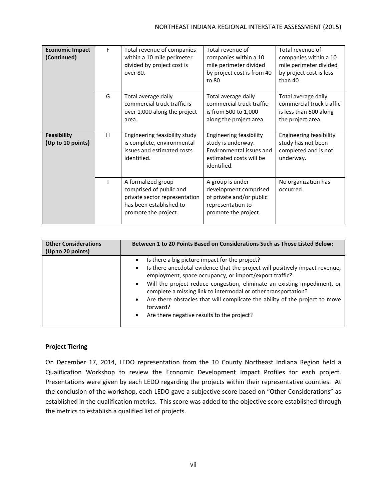| <b>Economic Impact</b><br>(Continued)   | F | Total revenue of companies<br>within a 10 mile perimeter<br>divided by project cost is<br>over 80.                                | Total revenue of<br>companies within a 10<br>mile perimeter divided<br>by project cost is from 40<br>to 80.                | Total revenue of<br>companies within a 10<br>mile perimeter divided<br>by project cost is less<br>than 40. |
|-----------------------------------------|---|-----------------------------------------------------------------------------------------------------------------------------------|----------------------------------------------------------------------------------------------------------------------------|------------------------------------------------------------------------------------------------------------|
|                                         | G | Total average daily<br>commercial truck traffic is<br>over 1,000 along the project<br>area.                                       | Total average daily<br>commercial truck traffic<br>is from 500 to 1,000<br>along the project area.                         | Total average daily<br>commercial truck traffic<br>is less than 500 along<br>the project area.             |
| <b>Feasibility</b><br>(Up to 10 points) | н | Engineering feasibility study<br>is complete, environmental<br>issues and estimated costs<br>identified.                          | <b>Engineering feasibility</b><br>study is underway.<br>Environmental issues and<br>estimated costs will be<br>identified. | <b>Engineering feasibility</b><br>study has not been<br>completed and is not<br>underway.                  |
|                                         |   | A formalized group<br>comprised of public and<br>private sector representation<br>has been established to<br>promote the project. | A group is under<br>development comprised<br>of private and/or public<br>representation to<br>promote the project.         | No organization has<br>occurred.                                                                           |

| <b>Other Considerations</b><br>(Up to 20 points) | Between 1 to 20 Points Based on Considerations Such as Those Listed Below:                                                                                                                                                                                                                                                                                                                                                                                                                                                            |  |  |
|--------------------------------------------------|---------------------------------------------------------------------------------------------------------------------------------------------------------------------------------------------------------------------------------------------------------------------------------------------------------------------------------------------------------------------------------------------------------------------------------------------------------------------------------------------------------------------------------------|--|--|
|                                                  | Is there a big picture impact for the project?<br>$\bullet$<br>Is there anecdotal evidence that the project will positively impact revenue,<br>$\bullet$<br>employment, space occupancy, or import/export traffic?<br>• Will the project reduce congestion, eliminate an existing impediment, or<br>complete a missing link to intermodal or other transportation?<br>Are there obstacles that will complicate the ability of the project to move<br>$\bullet$<br>forward?<br>Are there negative results to the project?<br>$\bullet$ |  |  |

#### **Project Tiering**

On December 17, 2014, LEDO representation from the 10 County Northeast Indiana Region held a Qualification Workshop to review the Economic Development Impact Profiles for each project. Presentations were given by each LEDO regarding the projects within their representative counties. At the conclusion of the workshop, each LEDO gave a subjective score based on "Other Considerations" as established in the qualification metrics. This score was added to the objective score established through the metrics to establish a qualified list of projects.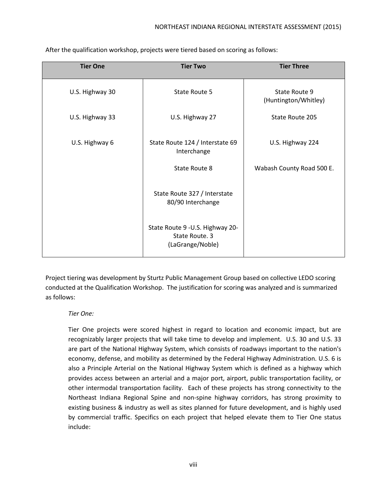| <b>Tier One</b> | <b>Tier Two</b>                                                        | <b>Tier Three</b>                     |
|-----------------|------------------------------------------------------------------------|---------------------------------------|
| U.S. Highway 30 | State Route 5                                                          | State Route 9<br>(Huntington/Whitley) |
| U.S. Highway 33 | U.S. Highway 27                                                        | State Route 205                       |
| U.S. Highway 6  | State Route 124 / Interstate 69<br>Interchange                         | U.S. Highway 224                      |
|                 | State Route 8                                                          | Wabash County Road 500 E.             |
|                 | State Route 327 / Interstate<br>80/90 Interchange                      |                                       |
|                 | State Route 9 - U.S. Highway 20-<br>State Route. 3<br>(LaGrange/Noble) |                                       |

After the qualification workshop, projects were tiered based on scoring as follows:

Project tiering was development by Sturtz Public Management Group based on collective LEDO scoring conducted at the Qualification Workshop. The justification for scoring was analyzed and is summarized as follows:

#### *Tier One:*

Tier One projects were scored highest in regard to location and economic impact, but are recognizably larger projects that will take time to develop and implement. U.S. 30 and U.S. 33 are part of the National Highway System, which consists of roadways important to the nation's economy, defense, and mobility as determined by the Federal Highway Administration. U.S. 6 is also a Principle Arterial on the National Highway System which is defined as a highway which provides access between an arterial and a major port, airport, public transportation facility, or other intermodal transportation facility. Each of these projects has strong connectivity to the Northeast Indiana Regional Spine and non-spine highway corridors, has strong proximity to existing business & industry as well as sites planned for future development, and is highly used by commercial traffic. Specifics on each project that helped elevate them to Tier One status include: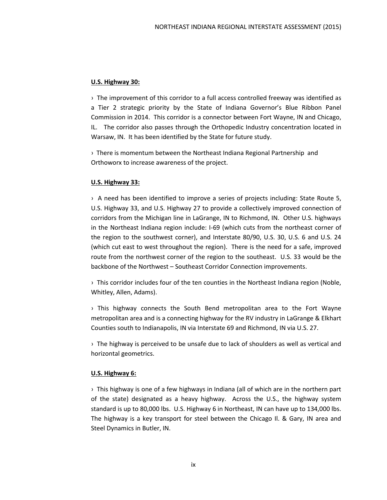#### **U.S. Highway 30:**

› The improvement of this corridor to a full access controlled freeway was identified as a Tier 2 strategic priority by the State of Indiana Governor's Blue Ribbon Panel Commission in 2014. This corridor is a connector between Fort Wayne, IN and Chicago, IL. The corridor also passes through the Orthopedic Industry concentration located in Warsaw, IN. It has been identified by the State for future study.

› There is momentum between the Northeast Indiana Regional Partnership and Orthoworx to increase awareness of the project.

#### **U.S. Highway 33:**

› A need has been identified to improve a series of projects including: State Route 5, U.S. Highway 33, and U.S. Highway 27 to provide a collectively improved connection of corridors from the Michigan line in LaGrange, IN to Richmond, IN. Other U.S. highways in the Northeast Indiana region include: I-69 (which cuts from the northeast corner of the region to the southwest corner), and Interstate 80/90, U.S. 30, U.S. 6 and U.S. 24 (which cut east to west throughout the region). There is the need for a safe, improved route from the northwest corner of the region to the southeast. U.S. 33 would be the backbone of the Northwest – Southeast Corridor Connection improvements.

› This corridor includes four of the ten counties in the Northeast Indiana region (Noble, Whitley, Allen, Adams).

› This highway connects the South Bend metropolitan area to the Fort Wayne metropolitan area and is a connecting highway for the RV industry in LaGrange & Elkhart Counties south to Indianapolis, IN via Interstate 69 and Richmond, IN via U.S. 27.

› The highway is perceived to be unsafe due to lack of shoulders as well as vertical and horizontal geometrics.

### **U.S. Highway 6:**

› This highway is one of a few highways in Indiana (all of which are in the northern part of the state) designated as a heavy highway. Across the U.S., the highway system standard is up to 80,000 lbs. U.S. Highway 6 in Northeast, IN can have up to 134,000 lbs. The highway is a key transport for steel between the Chicago Il. & Gary, IN area and Steel Dynamics in Butler, IN.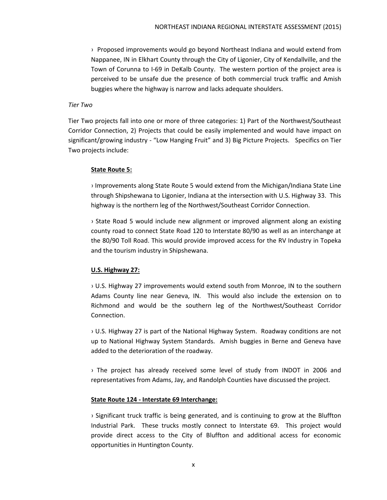› Proposed improvements would go beyond Northeast Indiana and would extend from Nappanee, IN in Elkhart County through the City of Ligonier, City of Kendallville, and the Town of Corunna to I-69 in DeKalb County. The western portion of the project area is perceived to be unsafe due the presence of both commercial truck traffic and Amish buggies where the highway is narrow and lacks adequate shoulders.

#### *Tier Two*

Tier Two projects fall into one or more of three categories: 1) Part of the Northwest/Southeast Corridor Connection, 2) Projects that could be easily implemented and would have impact on significant/growing industry - "Low Hanging Fruit" and 3) Big Picture Projects. Specifics on Tier Two projects include:

#### **State Route 5:**

› Improvements along State Route 5 would extend from the Michigan/Indiana State Line through Shipshewana to Ligonier, Indiana at the intersection with U.S. Highway 33. This highway is the northern leg of the Northwest/Southeast Corridor Connection.

› State Road 5 would include new alignment or improved alignment along an existing county road to connect State Road 120 to Interstate 80/90 as well as an interchange at the 80/90 Toll Road. This would provide improved access for the RV Industry in Topeka and the tourism industry in Shipshewana.

### **U.S. Highway 27:**

› U.S. Highway 27 improvements would extend south from Monroe, IN to the southern Adams County line near Geneva, IN. This would also include the extension on to Richmond and would be the southern leg of the Northwest/Southeast Corridor Connection.

› U.S. Highway 27 is part of the National Highway System. Roadway conditions are not up to National Highway System Standards. Amish buggies in Berne and Geneva have added to the deterioration of the roadway.

› The project has already received some level of study from INDOT in 2006 and representatives from Adams, Jay, and Randolph Counties have discussed the project.

#### **State Route 124 - Interstate 69 Interchange:**

› Significant truck traffic is being generated, and is continuing to grow at the Bluffton Industrial Park. These trucks mostly connect to Interstate 69. This project would provide direct access to the City of Bluffton and additional access for economic opportunities in Huntington County.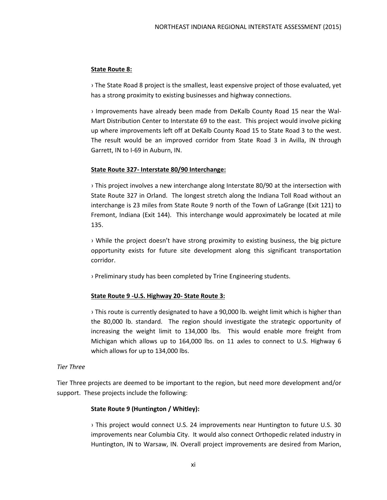#### **State Route 8:**

› The State Road 8 project is the smallest, least expensive project of those evaluated, yet has a strong proximity to existing businesses and highway connections.

› Improvements have already been made from DeKalb County Road 15 near the Wal-Mart Distribution Center to Interstate 69 to the east. This project would involve picking up where improvements left off at DeKalb County Road 15 to State Road 3 to the west. The result would be an improved corridor from State Road 3 in Avilla, IN through Garrett, IN to I-69 in Auburn, IN.

#### **State Route 327- Interstate 80/90 Interchange:**

› This project involves a new interchange along Interstate 80/90 at the intersection with State Route 327 in Orland. The longest stretch along the Indiana Toll Road without an interchange is 23 miles from State Route 9 north of the Town of LaGrange (Exit 121) to Fremont, Indiana (Exit 144). This interchange would approximately be located at mile 135.

› While the project doesn't have strong proximity to existing business, the big picture opportunity exists for future site development along this significant transportation corridor.

› Preliminary study has been completed by Trine Engineering students.

#### **State Route 9 -U.S. Highway 20- State Route 3:**

› This route is currently designated to have a 90,000 lb. weight limit which is higher than the 80,000 lb. standard. The region should investigate the strategic opportunity of increasing the weight limit to 134,000 lbs. This would enable more freight from Michigan which allows up to 164,000 lbs. on 11 axles to connect to U.S. Highway 6 which allows for up to 134,000 lbs.

#### *Tier Three*

Tier Three projects are deemed to be important to the region, but need more development and/or support. These projects include the following:

#### **State Route 9 (Huntington / Whitley):**

› This project would connect U.S. 24 improvements near Huntington to future U.S. 30 improvements near Columbia City. It would also connect Orthopedic related industry in Huntington, IN to Warsaw, IN. Overall project improvements are desired from Marion,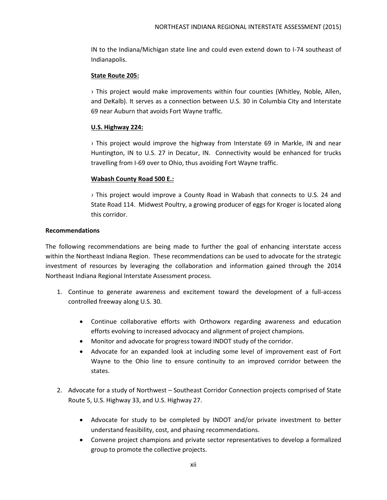IN to the Indiana/Michigan state line and could even extend down to I-74 southeast of Indianapolis.

#### **State Route 205:**

› This project would make improvements within four counties (Whitley, Noble, Allen, and DeKalb). It serves as a connection between U.S. 30 in Columbia City and Interstate 69 near Auburn that avoids Fort Wayne traffic.

### **U.S. Highway 224:**

› This project would improve the highway from Interstate 69 in Markle, IN and near Huntington, IN to U.S. 27 in Decatur, IN. Connectivity would be enhanced for trucks travelling from I-69 over to Ohio, thus avoiding Fort Wayne traffic.

#### **Wabash County Road 500 E.:**

› This project would improve a County Road in Wabash that connects to U.S. 24 and State Road 114. Midwest Poultry, a growing producer of eggs for Kroger is located along this corridor.

#### **Recommendations**

The following recommendations are being made to further the goal of enhancing interstate access within the Northeast Indiana Region. These recommendations can be used to advocate for the strategic investment of resources by leveraging the collaboration and information gained through the 2014 Northeast Indiana Regional Interstate Assessment process.

- 1. Continue to generate awareness and excitement toward the development of a full-access controlled freeway along U.S. 30.
	- Continue collaborative efforts with Orthoworx regarding awareness and education efforts evolving to increased advocacy and alignment of project champions.
	- Monitor and advocate for progress toward INDOT study of the corridor.
	- Advocate for an expanded look at including some level of improvement east of Fort Wayne to the Ohio line to ensure continuity to an improved corridor between the states.
- 2. Advocate for a study of Northwest Southeast Corridor Connection projects comprised of State Route 5, U.S. Highway 33, and U.S. Highway 27.
	- Advocate for study to be completed by INDOT and/or private investment to better understand feasibility, cost, and phasing recommendations.
	- Convene project champions and private sector representatives to develop a formalized group to promote the collective projects.